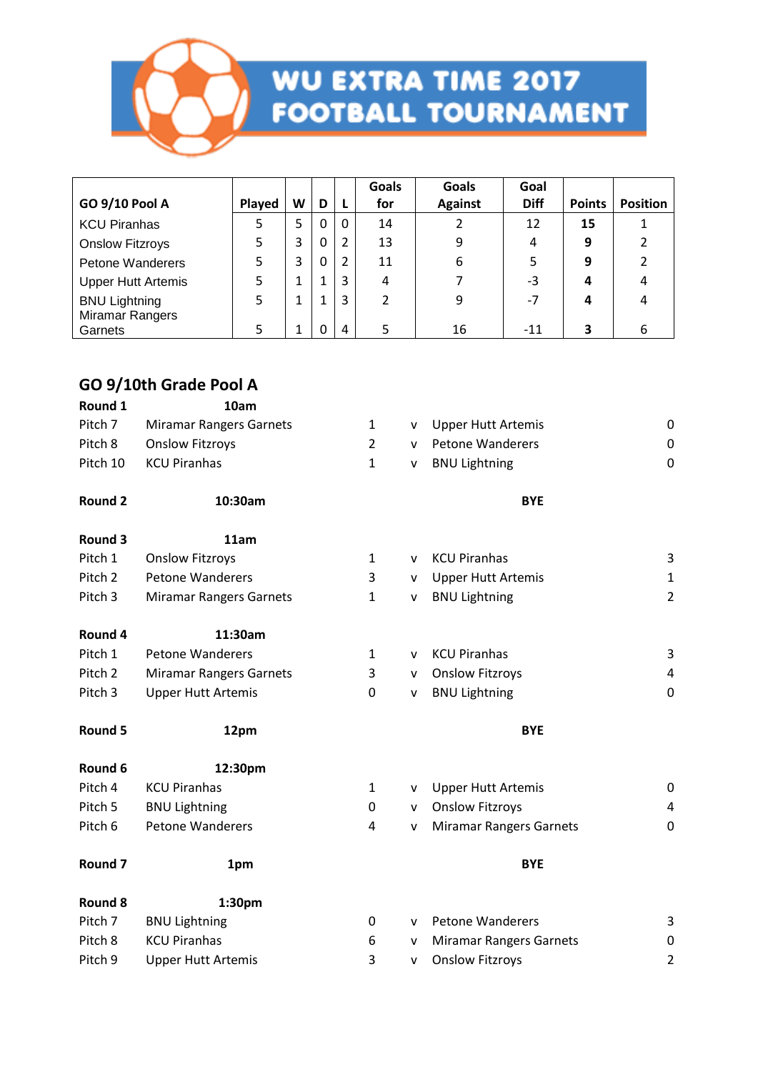

## **WU EXTRA TIME 2017<br>FOOTBALL TOURNAMENT**

|                            |        |   |   |   | Goals | Goals          | Goal        |               |                 |
|----------------------------|--------|---|---|---|-------|----------------|-------------|---------------|-----------------|
| GO 9/10 Pool A             | Played | W | D |   | for   | <b>Against</b> | <b>Diff</b> | <b>Points</b> | <b>Position</b> |
| <b>KCU Piranhas</b>        |        | 5 | 0 | 0 | 14    |                | 12          | 15            |                 |
| <b>Onslow Fitzroys</b>     |        | 3 | 0 |   | 13    | 9              | 4           | 9             |                 |
| <b>Petone Wanderers</b>    |        | 3 | 0 | 2 | 11    | 6              |             | 9             |                 |
| <b>Upper Hutt Artemis</b>  |        | 1 |   | 3 | 4     |                | -3          | 4             | 4               |
| <b>BNU Lightning</b>       |        | 1 |   | 3 |       | 9              | $-7$        | 4             | 4               |
| Miramar Rangers<br>Garnets |        | 1 | 0 | 4 | 5     | 16             | -11         | 3             | 6               |

#### **GO 9/10th Grade Pool A**

| Round 1            | 10am                           |                |              |                                |                |
|--------------------|--------------------------------|----------------|--------------|--------------------------------|----------------|
| Pitch 7            | <b>Miramar Rangers Garnets</b> | $\mathbf{1}$   | v            | <b>Upper Hutt Artemis</b>      | 0              |
| Pitch 8            | <b>Onslow Fitzroys</b>         | $\overline{2}$ | v            | <b>Petone Wanderers</b>        | 0              |
| Pitch 10           | <b>KCU Piranhas</b>            | $\mathbf{1}$   | v            | <b>BNU Lightning</b>           | $\mathbf 0$    |
| <b>Round 2</b>     | 10:30am                        |                |              | <b>BYE</b>                     |                |
| Round 3            | 11am                           |                |              |                                |                |
| Pitch 1            | <b>Onslow Fitzroys</b>         | $\mathbf{1}$   | v            | <b>KCU Piranhas</b>            | 3              |
| Pitch <sub>2</sub> | <b>Petone Wanderers</b>        | 3              | v            | <b>Upper Hutt Artemis</b>      | 1              |
| Pitch <sub>3</sub> | <b>Miramar Rangers Garnets</b> | $\mathbf{1}$   | $\mathsf{V}$ | <b>BNU Lightning</b>           | $\overline{2}$ |
| Round 4            | 11:30am                        |                |              |                                |                |
| Pitch 1            | <b>Petone Wanderers</b>        | 1              | v            | <b>KCU Piranhas</b>            | 3              |
| Pitch 2            | <b>Miramar Rangers Garnets</b> | 3              | v            | <b>Onslow Fitzroys</b>         | 4              |
| Pitch <sub>3</sub> | <b>Upper Hutt Artemis</b>      | 0              | v            | <b>BNU Lightning</b>           | $\mathbf 0$    |
| Round 5            | 12pm                           |                |              | <b>BYE</b>                     |                |
| Round 6            | 12:30pm                        |                |              |                                |                |
| Pitch 4            | <b>KCU Piranhas</b>            | $\mathbf{1}$   | v            | <b>Upper Hutt Artemis</b>      | 0              |
| Pitch 5            | <b>BNU Lightning</b>           | 0              | v            | <b>Onslow Fitzroys</b>         | 4              |
| Pitch 6            | <b>Petone Wanderers</b>        | 4              | v            | <b>Miramar Rangers Garnets</b> | 0              |
| Round <sub>7</sub> | 1pm                            |                |              | <b>BYE</b>                     |                |
| Round 8            | 1:30pm                         |                |              |                                |                |
| Pitch 7            | <b>BNU Lightning</b>           | 0              | v            | <b>Petone Wanderers</b>        | 3              |
| Pitch 8            | <b>KCU Piranhas</b>            | 6              | v            | <b>Miramar Rangers Garnets</b> | 0              |
| Pitch 9            | <b>Upper Hutt Artemis</b>      | 3              | v            | <b>Onslow Fitzroys</b>         | $\overline{2}$ |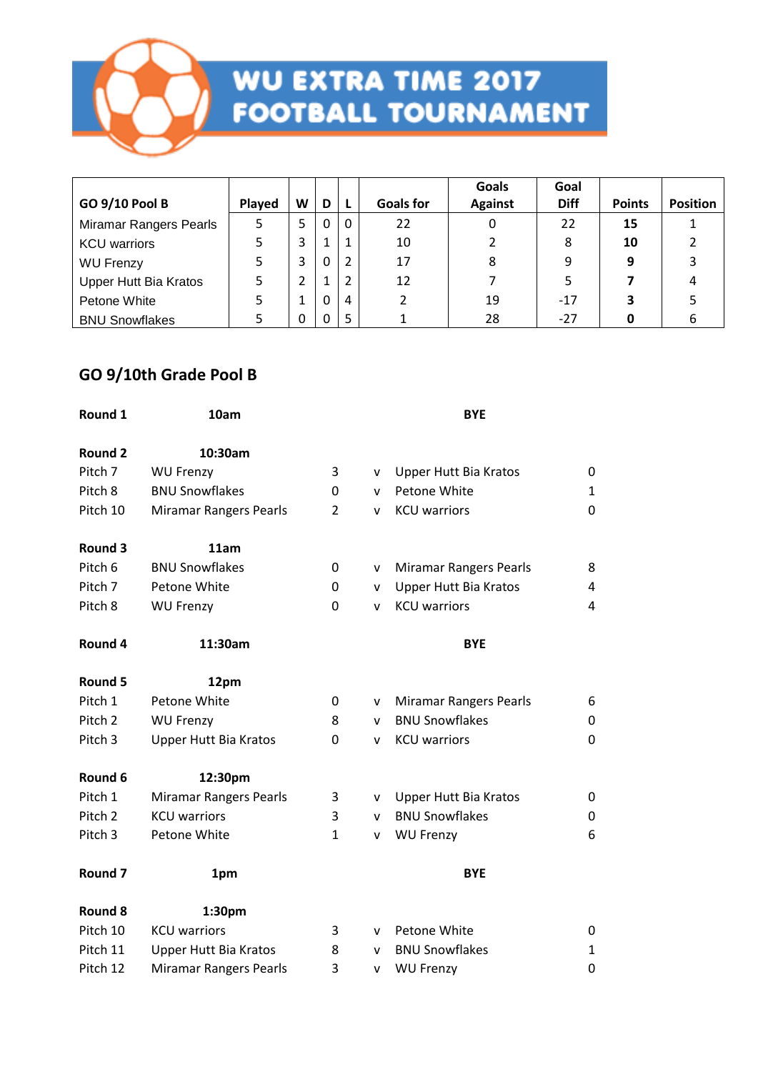

## **WU EXTRA TIME 2017<br>FOOTBALL TOURNAMENT**

|                               |        |   |   |   |                  | Goals          | Goal        |               |                 |
|-------------------------------|--------|---|---|---|------------------|----------------|-------------|---------------|-----------------|
| <b>GO 9/10 Pool B</b>         | Played | W | D | L | <b>Goals for</b> | <b>Against</b> | <b>Diff</b> | <b>Points</b> | <b>Position</b> |
| <b>Miramar Rangers Pearls</b> |        | 5 | 0 | 0 | 22               | 0              | 22          | 15            |                 |
| <b>KCU</b> warriors           |        | 3 | 1 | 1 | 10               |                | 8           | 10            |                 |
| <b>WU Frenzy</b>              |        | 3 | 0 |   | 17               | 8              | 9           | 9             |                 |
| <b>Upper Hutt Bia Kratos</b>  |        | 2 |   |   | 12               |                |             |               | 4               |
| Petone White                  |        |   | 0 | 4 |                  | 19             | $-17$       | 3             |                 |
| <b>BNU Snowflakes</b>         |        | 0 |   | 5 |                  | 28             | $-27$       |               |                 |

#### **GO 9/10th Grade Pool B**

| Round 1            | 10am                          |                | <b>BYE</b>   |                               |              |  |  |  |  |  |
|--------------------|-------------------------------|----------------|--------------|-------------------------------|--------------|--|--|--|--|--|
| Round 2            | 10:30am                       |                |              |                               |              |  |  |  |  |  |
| Pitch 7            | <b>WU Frenzy</b>              | 3              | $\mathsf{v}$ | Upper Hutt Bia Kratos         | 0            |  |  |  |  |  |
| Pitch 8            | <b>BNU Snowflakes</b>         | 0              | v            | Petone White                  | $\mathbf{1}$ |  |  |  |  |  |
| Pitch 10           | <b>Miramar Rangers Pearls</b> | $\overline{2}$ | v            | <b>KCU</b> warriors           | 0            |  |  |  |  |  |
| Round 3            | 11am                          |                |              |                               |              |  |  |  |  |  |
| Pitch 6            | <b>BNU Snowflakes</b>         | 0              | v            | <b>Miramar Rangers Pearls</b> | 8            |  |  |  |  |  |
| Pitch 7            | Petone White                  | 0              | v            | Upper Hutt Bia Kratos         | 4            |  |  |  |  |  |
| Pitch 8            | <b>WU Frenzy</b>              | 0              | v            | <b>KCU</b> warriors           | 4            |  |  |  |  |  |
| Round 4            | 11:30am                       |                |              | <b>BYE</b>                    |              |  |  |  |  |  |
| <b>Round 5</b>     | 12pm                          |                |              |                               |              |  |  |  |  |  |
| Pitch 1            | Petone White                  | 0              | v            | <b>Miramar Rangers Pearls</b> | 6            |  |  |  |  |  |
| Pitch <sub>2</sub> | <b>WU Frenzy</b>              | 8              | $\mathsf{v}$ | <b>BNU Snowflakes</b>         | 0            |  |  |  |  |  |
| Pitch 3            | Upper Hutt Bia Kratos         | 0              | v            | <b>KCU</b> warriors           | $\mathbf 0$  |  |  |  |  |  |
| Round 6            | 12:30pm                       |                |              |                               |              |  |  |  |  |  |
| Pitch 1            | <b>Miramar Rangers Pearls</b> | 3              | v            | <b>Upper Hutt Bia Kratos</b>  | 0            |  |  |  |  |  |
| Pitch 2            | <b>KCU</b> warriors           | 3              | $\mathsf{v}$ | <b>BNU Snowflakes</b>         | 0            |  |  |  |  |  |
| Pitch 3            | Petone White                  | $\mathbf{1}$   | v            | <b>WU Frenzy</b>              | 6            |  |  |  |  |  |
| Round <sub>7</sub> | 1pm                           |                |              | <b>BYE</b>                    |              |  |  |  |  |  |
| Round 8            | 1:30pm                        |                |              |                               |              |  |  |  |  |  |
| Pitch 10           | <b>KCU</b> warriors           | 3              | v            | Petone White                  | 0            |  |  |  |  |  |
| Pitch 11           | <b>Upper Hutt Bia Kratos</b>  | 8              | v            | <b>BNU Snowflakes</b>         | $\mathbf{1}$ |  |  |  |  |  |
| Pitch 12           | Miramar Rangers Pearls        | 3              | v            | <b>WU Frenzy</b>              | 0            |  |  |  |  |  |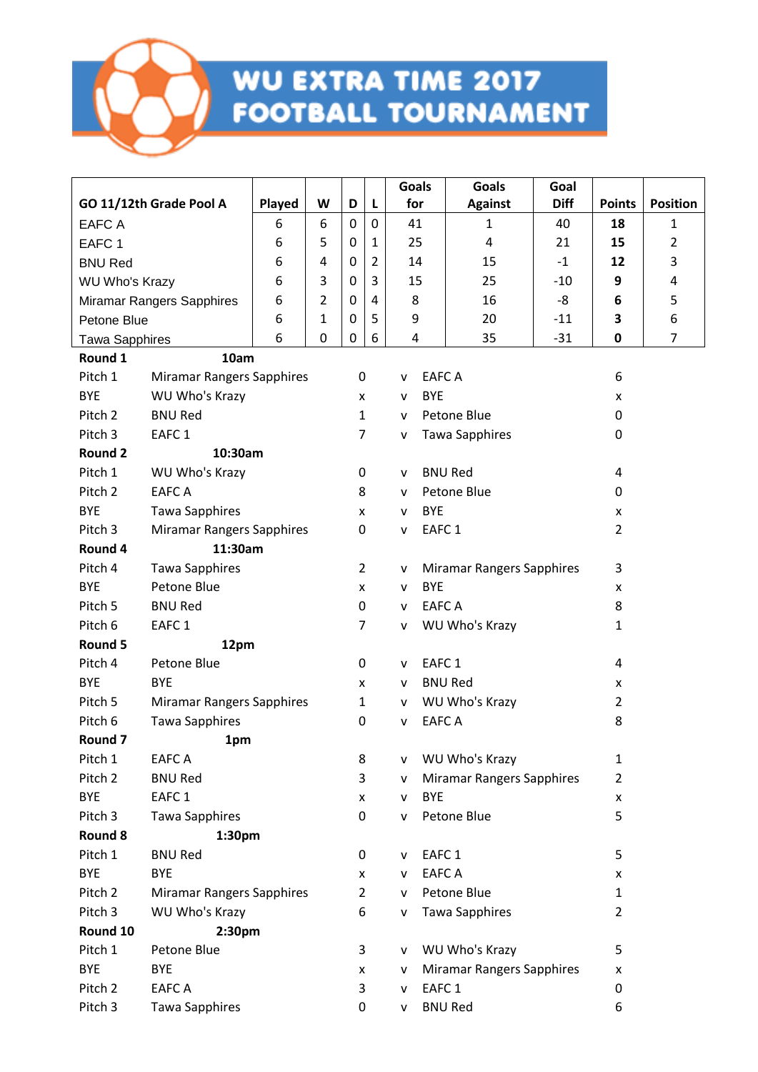

|                       |                                  |        |   |                |   | Goals           | <b>Goals</b>                     | Goal        |                |                 |
|-----------------------|----------------------------------|--------|---|----------------|---|-----------------|----------------------------------|-------------|----------------|-----------------|
|                       | GO 11/12th Grade Pool A          | Played | W | D              | L | for             | <b>Against</b>                   | <b>Diff</b> | <b>Points</b>  | <b>Position</b> |
| <b>EAFC A</b>         |                                  | 6      | 6 | $\mathbf{0}$   | 0 | 41              | 1                                | 40          | 18             | 1               |
| EAFC <sub>1</sub>     |                                  | 6      | 5 | 0              | 1 | 25              | 4                                | 21          | 15             | $\overline{2}$  |
| <b>BNU Red</b>        |                                  | 6      | 4 | 0              | 2 | 14              | 15                               | $-1$        | 12             | 3               |
| <b>WU Who's Krazy</b> |                                  | 6      | 3 | 0              | 3 | 15              | 25                               | $-10$       | 9              | 4               |
|                       | <b>Miramar Rangers Sapphires</b> | 6      | 2 | 0              | 4 | 8               | 16                               | -8          | 6              | 5               |
| Petone Blue           |                                  | 6      | 1 | $\mathbf{0}$   | 5 | 9               | 20                               | $-11$       | 3              | 6               |
| <b>Tawa Sapphires</b> |                                  | 6      | 0 | 0              | 6 | 4               | 35                               | $-31$       | 0              | 7               |
| Round 1               | 10am                             |        |   |                |   |                 |                                  |             |                |                 |
| Pitch 1               | <b>Miramar Rangers Sapphires</b> |        |   | 0              |   | ۷               | <b>EAFC A</b>                    |             | 6              |                 |
| <b>BYE</b>            | WU Who's Krazy                   |        |   | X              |   | <b>BYE</b><br>v |                                  |             | X              |                 |
| Pitch 2               | <b>BNU Red</b>                   |        |   | $\mathbf{1}$   |   | v               | Petone Blue                      |             | 0              |                 |
| Pitch <sub>3</sub>    | EAFC <sub>1</sub>                |        |   | $\overline{7}$ |   | v               | <b>Tawa Sapphires</b>            |             | 0              |                 |
| <b>Round 2</b>        | 10:30am                          |        |   |                |   |                 |                                  |             |                |                 |
| Pitch 1               | WU Who's Krazy                   |        |   | 0              |   | v               | <b>BNU Red</b>                   |             | 4              |                 |
| Pitch <sub>2</sub>    | <b>EAFCA</b>                     |        |   | 8              |   | v               | Petone Blue                      |             | 0              |                 |
| <b>BYE</b>            | <b>Tawa Sapphires</b>            |        |   | X              |   | <b>BYE</b><br>v |                                  |             | X              |                 |
| Pitch <sub>3</sub>    | <b>Miramar Rangers Sapphires</b> |        |   | 0              |   | v               | EAFC <sub>1</sub>                |             | $\overline{2}$ |                 |
| Round 4               | 11:30am                          |        |   |                |   |                 |                                  |             |                |                 |
| Pitch 4               | <b>Tawa Sapphires</b>            |        |   | $\overline{2}$ |   | v               | <b>Miramar Rangers Sapphires</b> |             | 3              |                 |
| <b>BYE</b>            | Petone Blue                      |        |   | X              |   | <b>BYE</b><br>v |                                  |             | x              |                 |
| Pitch 5               | <b>BNU Red</b>                   |        |   | 0              |   | v               | <b>EAFCA</b>                     |             | 8              |                 |
| Pitch 6               | EAFC <sub>1</sub>                |        |   | $\overline{7}$ |   | v               | WU Who's Krazy                   |             | 1              |                 |
| Round 5               | 12pm                             |        |   |                |   |                 |                                  |             |                |                 |
| Pitch 4               | Petone Blue                      |        |   | 0              |   | v               | EAFC <sub>1</sub>                |             | 4              |                 |
| <b>BYE</b>            | <b>BYE</b>                       |        |   | x              |   | v               | <b>BNU Red</b>                   |             | x              |                 |
| Pitch 5               | <b>Miramar Rangers Sapphires</b> |        |   | $\mathbf{1}$   |   | v               | WU Who's Krazy                   |             | $\overline{2}$ |                 |
| Pitch 6               | <b>Tawa Sapphires</b>            |        |   | 0              |   | v               | <b>EAFC A</b>                    |             | 8              |                 |
| Round 7               | 1pm                              |        |   |                |   |                 |                                  |             |                |                 |
| Pitch 1               | EAFC A                           |        |   | 8              |   | v               | WU Who's Krazy                   |             | 1              |                 |
| Pitch <sub>2</sub>    | <b>BNU Red</b>                   |        |   | 3              |   | v               | <b>Miramar Rangers Sapphires</b> |             | $\overline{2}$ |                 |
| <b>BYE</b>            | EAFC <sub>1</sub>                |        |   | x              |   | <b>BYE</b><br>v |                                  |             | x              |                 |
| Pitch <sub>3</sub>    | <b>Tawa Sapphires</b>            |        |   | 0              |   | v               | Petone Blue                      |             | 5              |                 |
| Round 8               | 1:30pm                           |        |   |                |   |                 |                                  |             |                |                 |
| Pitch 1               | <b>BNU Red</b>                   |        |   | 0              |   | v               | EAFC <sub>1</sub>                |             | 5              |                 |
| <b>BYE</b>            | <b>BYE</b>                       |        |   | x              |   | v               | <b>EAFCA</b>                     |             | x              |                 |
| Pitch <sub>2</sub>    | <b>Miramar Rangers Sapphires</b> |        |   | $\overline{2}$ |   | v               | Petone Blue                      |             | $\mathbf{1}$   |                 |
| Pitch 3               | WU Who's Krazy                   |        |   | 6              |   | v               | <b>Tawa Sapphires</b>            |             | $\overline{2}$ |                 |
| Round 10              | 2:30pm                           |        |   |                |   |                 |                                  |             |                |                 |
| Pitch 1               | Petone Blue                      |        |   | 3              |   | v               | WU Who's Krazy                   |             | 5              |                 |
| <b>BYE</b>            | <b>BYE</b>                       |        |   | x              |   | ۷               | <b>Miramar Rangers Sapphires</b> |             | x              |                 |
| Pitch 2               | <b>EAFCA</b>                     |        |   | 3              |   | v               | EAFC <sub>1</sub>                |             | 0              |                 |
| Pitch 3               | <b>Tawa Sapphires</b>            |        |   | 0              |   | ۷               | <b>BNU Red</b>                   |             | 6              |                 |